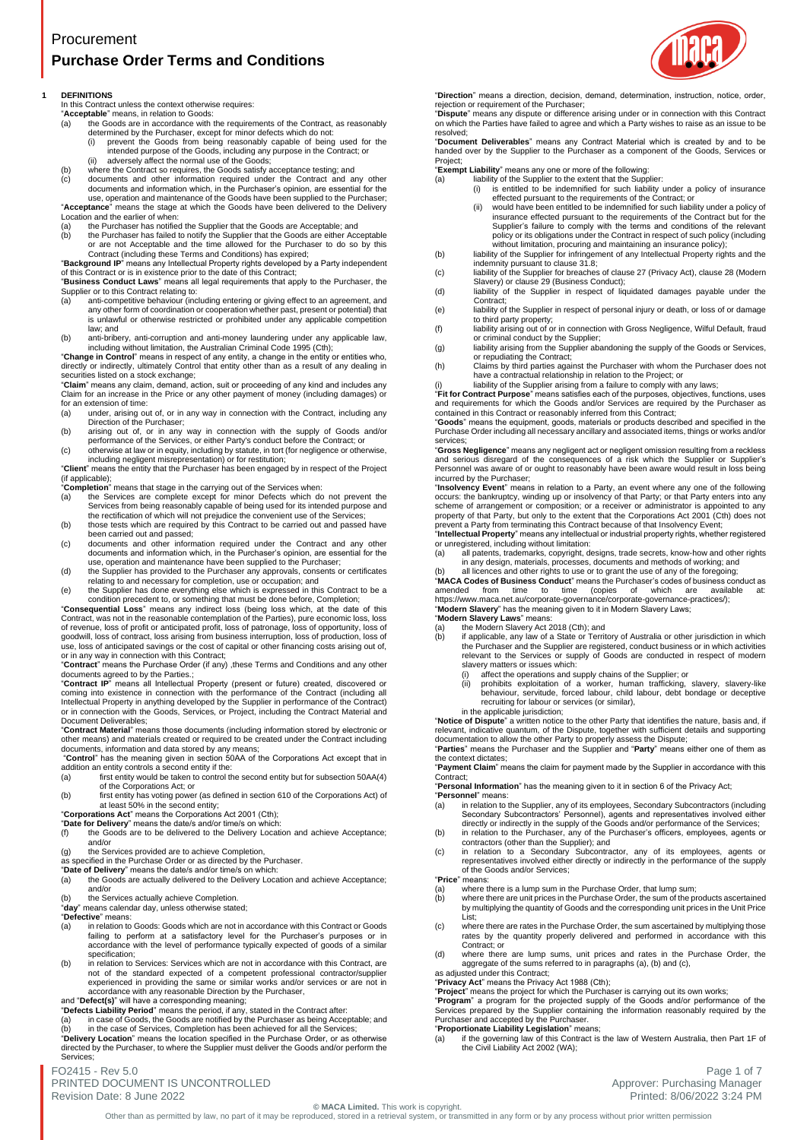## **1 DEFINITIONS**

In this Contract unless the context otherwise requires:

- "**Acceptable**" means, in relation to Goods:<br>(a) the Goods are in accordance with
- (a) the Goods are in accordance with the requirements of the Contract, as reasonably determined by the Purchaser, except for minor defects which do not:
	- (i) prevent the Goods from being reasonably capable of being used for the<br>intended purpose of the Goods, including any purpose in the Contract; or<br>(ii) adversely affect the normal use of the Goods;
- (b) where the Contract so requires, the Goods satisfy acceptance testing; and (c) documents and other information required under the Contract and any other

documents and information which, in the Purchaser's opinion, are essential for the use, operation and maintenance of the Goods have been supplied to the Purchaser;

"**Acceptance**" means the stage at which the Goods have been delivered to the Delivery Location and the earlier of when:

a) the Purchaser has notified the Supplier that the Goods are Acceptable; and<br>(b) the Purchaser has failed to notify the Supplier that the Goods are either Acceptable<br>or are not Acceptable and the time allowed for the Purc

"Contract (including these Terms and Conditions) has expired;<br>"Background IP" means any Intellectual Property rights developed by a Party independent<br>of this Contract or is in existence prior to the date of this Contract;<br>

Supplier or to this Contract relating to: (a) anti-competitive behaviour (including entering or giving effect to an agreement, and

- any other form of coordination or cooperation whether past, present or potential) that is unlawful or otherwise restricted or prohibited under any applicable competition law; and
- (b) anti-bribery, anti-corruption and anti-money laundering under any applicable law,

including without limitation, the Australian Criminal Code 1995 (Cth); "**Change in Control**" means in respect of any entity, a change in the entity or entities who, directly or indirectly, ultimately Control that entity other than as a result of any dealing in<br>securities listed on a stock exchange;<br>**"Claim**" means any claim, demand, action, suit or proceeding of any kind and includes

Claim for an increase in the Price or any other payment of money (including damages) or for an extension of time:<br>(a) under, arising of

- (a) under, arising out of, or in any way in connection with the Contract, including any Direction of the Purchaser;
- (b) arising out of, or in any way in connection with the supply of Goods and/or performance of the Services, or either Party's conduct before the Contract; or
- (c) otherwise at law or in equity, including by statute, in tort (for negligence or otherwise,<br>including negligent misrepresentation) or for restitution;<br>**"Client**" means the entity that the Purchaser has been engaged by i

(if applicable);

- **"Completion**" means that stage in the carrying out of the Services when:<br>(a) the Services are complete except for minor Defects which do not prevent the<br>Services from being reasonably capable of being used for its intende the rectification of which will not prejudice the convenient use of the Services; (b) those tests which are required by this Contract to be carried out and passed have
- been carried out and passed; (c) documents and other information required under the Contract and any other
- documents and information which, in the Purchaser's opinion, are essential for the use, operation and maintenance have been supplied to the Purchaser;
- (d) the Supplier has provided to the Purchaser any approvals, consents or certificates relating to and necessary for completion, use or occupation; and
- 

(e) the Supplier has done everything else which is expressed in this Contract to be a condition precedent to, or something that must be done before, Completion;<br>
"Consequential Loss" means any indirect loss (being loss whi or in any way in connection with this Contract;

"**Contract**" means the Purchase Order (if any) ,these Terms and Conditions and any other

documents agreed to by the Parties.; "**Contract IP**" means all Intellectual Property (present or future) created, discovered or coming into existence in connection with the performance of the Contract (including all<br>Intellectual Property in anything developed by the Supplier in performance of the Contract)<br>or in connection with the Goods, Services,

Document Deliverables; "**Contract Material**" means those documents (including information stored by electronic or other means) and materials created or required to be created under the Contract including<br>documents, information and data stored by any means;<br>"Control" has the meaning given in section 50AA of the Corporations Act except

(a) first entity would be taken to control the second entity but for subsection 50AA(4)

of the Corporations Act; or (b) first entity has voting power (as defined in section 610 of the Corporations Act) of at least 50% in the second entity;

- **"Corporations Act**" means the Corporations Act 2001 (Cth);<br>"**Date for Delivery**" means the date/s and/or time/s on which:<br>(f) the Goods are to be delivered to the Delivery Location and achieve Acceptance; and/or
- (g) the Services provided are to achieve Completion

- as specified in the Purchase Order or as directed by the Purchaser. "**Date of Delivery**" means the date/s and/or time/s on which:
- (a) the Goods are actually delivered to the Delivery Location and achieve Acceptance; and/or

(b) the Services actually achieve Completion. "**day**" means calendar day, unless otherwise stated;

"**day**" means calend<br>"**Defective**" means:<br>(a) in relation to

- (a) in relation to Goods: Goods which are not in accordance with this Contract or Goods failing to perform at a satisfactory level for the Purchaser's purposes or in accordance with the level of performance typically expected of goods of a similar specification;
- (b) in relation to Services: Services which are not in accordance with this Contract, are not of the standard expected of a competent professional contractor/supplier experienced in providing the same or similar works and/or services or are not in accordance with any reasonable Direction by the Purchaser,

and "**Defect(s)**" will have a corresponding meaning;<br>"**Defects Liability Period**" means the period, if any, stated in the Contract after:<br>(a) in case of Goods, the Goods are notified by the Purchaser as being Acceptable;

In the case of Services, Completion has been achieved for all the Services; "**Delivery Location**" means the location specified in the Purchase Order, or as otherwise

directed by the Purchaser, to where the Supplier must deliver the Goods and/or perform the **Services** 

FO2415 - Rev 5.0 Page 1 of 7 Revision Date: 8 June 2022 2:24 PM

## **© MACA Limited.** This work is copyright.

"**Direction**" means a direction, decision, demand, determination, instruction, notice, order,

rejection or requirement of the Purchaser; "**Dispute**" means any dispute or difference arising under or in connection with this Contract on which the Parties have failed to agree and which a Party wishes to raise as an issue to be resolved;

"**Document Deliverables**" means any Contract Material which is created by and to be handed over by the Supplier to the Purchaser as a component of the Goods, Services or Project;

"**Exempt Liability**" means any one or more of the following: (a) liability of the Supplier to the extent that the Supplier:

- - (i) is entitled to be indemnified for such liability under a policy of insurance effected pursuant to the requirements of the Contract; or (ii) would have been entitled to be indemnified for such liability under a policy of
- insurance effected pursuant to the requirements of the Contract but for the Supplier's failure to comply with the terms and conditions of the relevant policy or its obligations under the Contract in respect of such policy (including without limitation, procuring and maintaining an insurance policy); (b) liability of the Supplier for infringement of any Intellectual Property rights and the
- 
- indemnity pursuant to clause [31.8;](#page-5-0) (c) liability of the Supplier for breaches of claus[e 27](#page-4-0) (Privacy Act), claus[e 28](#page-4-1) (Modern Slavery) or claus[e 29](#page-4-2) (Business Conduct);
- (d) liability of the Supplier in respect of liquidated damages payable under the Contract;
- (e) liability of the Supplier in respect of personal injury or death, or loss of or damage to third party property;
- (f) liability arising out of or in connection with Gross Negligence, Wilful Default, fraud or criminal conduct by the Supplier;
- (g) liability arising from the Supplier abandoning the supply of the Goods or Services, or repudiating the Contract;
- (h) Claims by third parties against the Purchaser with whom the Purchaser does not have a contractual relationship in relation to the Project; or<br>(i) liability of the Supplier arising from a failure to comply with any laws
- 

contained in this Contract or reasonably inferred from this Contract; "**Goods**" means the equipment, goods, materials or products described and specified in the

Purchase Order including all necessary ancillary and associated items, things or works and/or services;

"**Gross Negligence**" means any negligent act or negligent omission resulting from a reckless and serious disregard of the consequences of a risk which the Supplier or Supplier's Personnel was aware of or ought to reasonably have been aware would result in loss being incurred by the Purchaser;

"I**nsolvency Event**" means in relation to a Party, an event where any one of the following<br>occurs: the bankruptcy, winding up or insolvency of that Party; or that Party enters into any<br>scheme of arrangement or composition; property of that Party, but only to the extent that the Corporations Act 2001 (Cth) does not prevent a Party from terminating this Contract because of that Insolvency Event;

"**Intellectual Property**" means any intellectual or industrial property rights, whether registered or unregistered, including without limitation:

(a) all patents, trademarks, copyright, designs, trade secrets, know-how and other rights in any design, materials, processes, documents and methods of working; and all licences and other rights to use or to grant the use of any of the foregoing;

"**MACA Codes of Business Conduct**" means the Purchaser's codes of business conduct as

amended from time to time (copies of which are available at:<br>https://www.maca.net.au/corporate-governance/corporate-governance-practices/);<br>**"Modern Slavery**" has the meaning given to it in Modern Slavery Laws;

- "**Modern Slavery Laws**" means:<br>(a) the Modern Slavery Act 2018 (Cth); and<br>(b) if applicable, any law of a State or Territory of Australia or other jurisdiction in which<br>the Purchaser and the Supplier are registered, conduc relevant to the Services or supply of Goods are conducted in respect of modern slavery matters or issues which:
	-
	- (i) affect the operations and supply chains of the Supplier; or<br>(ii) prohibits exploitation of a worker, human trafficking, slavery, slavery-like<br>behaviour, servitude, forced labour, child labour, debt bondage or deceptive recruiting for labour or services (or similar), in the applicable jurisdiction;

"**Notice of Dispute**" a written notice to the other Party that identifies the nature, basis and, if relevant, indicative quantum, of the Dispute, together with sufficient details and supporting documentation to allow the other Party to properly assess the Dispute; "**Parties**" means the Purchaser and the Supplier and "**Party**" means either one of them as

the context dictates;

"**Payment Claim**" means the claim for payment made by the Supplier in accordance with this Contract;

"**Personal Information**" has the meaning given to it in section 6 of the Privacy Act; "**Personnel**" means:

- (a) in relation to the Supplier, any of its employees, Secondary Subcontractors (including<br>Secondary Subcontractors' Personnel), agents and representatives involved either<br>directly or indirectly in the supply of the Goods
- 
- contractors (other than the Supplier); and<br>(c) in relation to a Secondary Subcontractor, any of its employees, agents or<br>representatives involved either directly or indirectly in the performance of the supply of the Goods and/or Services;

- "**Price**" means: (a) where there is a lump sum in the Purchase Order, that lump sum;<br>(b) where there are unit prices in the Purchase Order, the sum of the pi
- where there are unit prices in the Purchase Order, the sum of the products ascertained by multiplying the quantity of Goods and the corresponding unit prices in the Unit Price List;
- (c) where there are rates in the Purchase Order, the sum ascertained by multiplying those rates by the quantity properly delivered and performed in accordance with this Contract; or
- (d) where there are lump sums, unit prices and rates in the Purchase Order, the aggregate of the sums referred to in paragraphs (a), (b) and (c), as adjusted under this Contract;

"**Privacy Act**" means the Privacy Act 1988 (Cth);<br>"**Project**" means the project for which the Purchaser is carrying out its own works;<br>"**Program**" a program for the projected supply of the Goods and/or performance of the<br>S

"**Proportionate Liability Legislation**" means;

if the governing law of this Contract is the law of Western Australia, then Part 1F of the Civil Liability Act 2002 (WA);



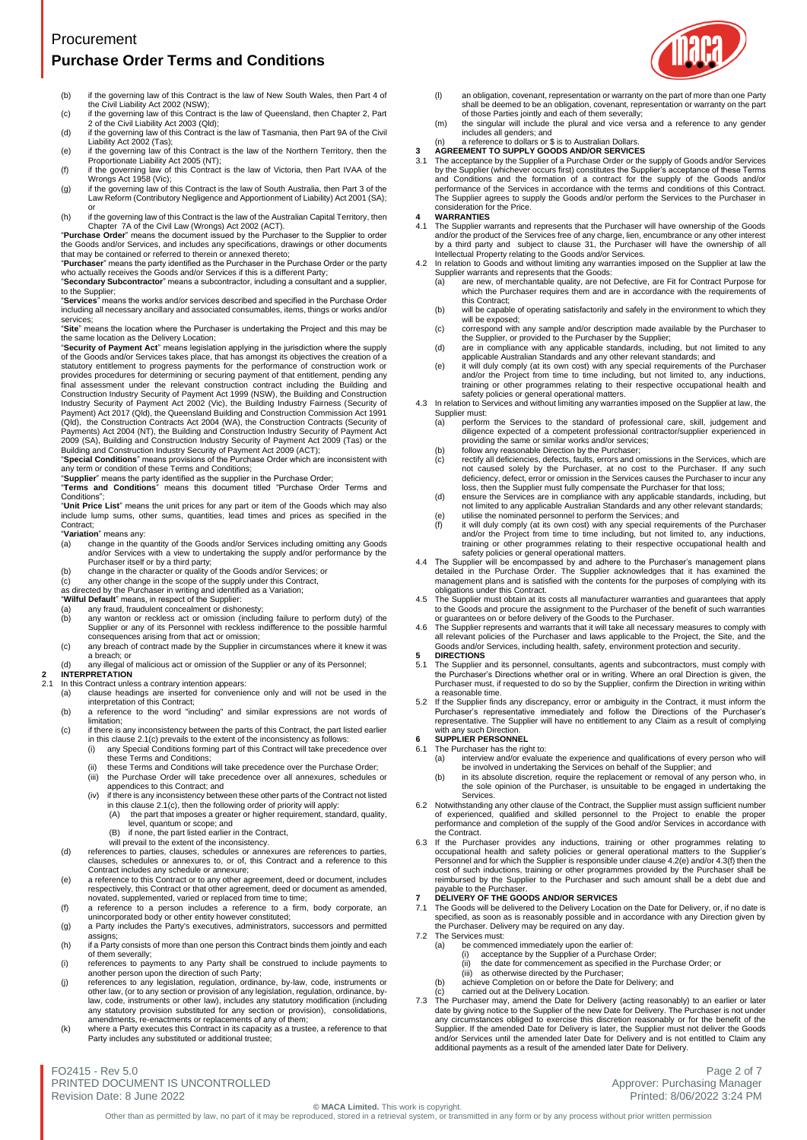- (b) if the governing law of this Contract is the law of New South Wales, then Part 4 of the Civil Liability Act 2002 (NSW); (c) if the governing law of this Contract is the law of Queensland, then Chapter 2, Part
- 
- 2 of the Civil Liability Act 2003 (Qld); (d) if the governing law of this Contract is the law of Tasmania, then Part 9A of the Civil Liability Act 2002 (Tas);
- (e) if the governing law of this Contract is the law of the Northern Territory, then the Proportionate Liability Act 2005 (NT);
- (f) if the governing law of this Contract is the law of Victoria, then Part IVAA of the Wrongs Act 1958 (Vic);
- (g) if the governing law of this Contract is the law of South Australia, then Part 3 of the Law Reform (Contributory Negligence and Apportionment of Liability) Act 2001 (SA); or (h) if the governing law of this Contract is the law of the Australian Capital Territory, then
- 

"Purchapter 7A of the Civil Law (Wrongs) Act 2002 (ACT).<br>"Purchase Order" means the document issued by the Purchaser to the Supplier to order<br>the Goods and/or Services, and includes any specifications, drawings or other do

"**Purchaser**" means the party identified as the Purchaser in the Purchase Order or the party who actually receives the Goods and/or Services if this is a different Party; "**Secondary Subcontractor**" means a subcontractor, including a consultant and a supplier,

to the Supplier; "**Services**" means the works and/or services described and specified in the Purchase Order

including all necessary ancillary and associated consumables, items, things or works and/or services; "**Site**" means the location where the Purchaser is undertaking the Project and this may be

the same location as the Delivery Location;

"**Security of Payment Act**" means legislation applying in the jurisdiction where the supply of the Goods and/or Services takes place, that has amongst its objectives the creation of a statutory entitlement to progress payments for the performance of construction work or<br>provides procedures for determining or securing payment of that entitlement, pending any<br>final assessment under the relevant const Construction Industry Security of Payment Act 1999 (NSW), the Building and Construction Industry Security of Payment Act 2002 (Vic), the Building Industry Fairness (Security of Payment) Act 2017 (Qld), the Queensland Building and Construction Commission Act 1991<br>(Qld), the Construction Contracts Act 2004 (WA), the Construction Contracts (Security of<br>Payments) Act 2004 (NT), the Building and Const

"**Supplier**" means the party identified as the supplier in the Purchase Order; "**Terms and Conditions**" means this document titled "Purchase Order Terms and

Conditions";<br>**"Unit Price List**" means the unit prices for any part or item of the Goods which may also<br>include lump sums, other sums, quantities, lead times and prices as specified in the Contract;

- "**Variation**" means any: (a) change in the quantity of the Goods and/or Services including omitting any Goods and/or Services with a view to undertaking the supply and/or performance by the Purchaser itself or by a third party;
- 
- (b) change in the character or quality of the Goods and/or Services; or (c) any other change in the scope of the supply under this Contract,
- as directed by the Purchaser in writing and identified as a Variation;

"**Wilful Default**" means, in respect of the Supplier: (a) any fraud, fraudulent concealment or dishonesty;

- (b) any wanton or reckless act or omission (including failure to perform duty) of the Supplier or any of its Personnel with reckless indifference to the possible harmful consequences arising from that act or omission; (c) any breach of contract made by the Supplier in circumstances where it knew it was
- a breach; or any illegal of malicious act or omission of the Supplier or any of its Personnel;
- 

### **2 INTERPRETATION**<br>2.1 In this Contract unle In this Contract unless a contrary intention appears:

- (a) clause headings are inserted for convenience only and will not be used in the<br>interpretation of this Contract;<br>(b) a reference to the word "including" and similar expressions are not words of
- limitation;
- <span id="page-1-0"></span>(c) if there is any inconsistency between the parts of this Contract, the part listed earlier in this claus[e 2.1\(c\)](#page-1-0) prevails to the extent of the inconsistency as follows: (i) any Special Conditions forming part of this Contract will take precedence over
	- these Terms and Conditions; (ii) these Terms and Conditions will take precedence over the Purchase Order;<br>(iii) the Purchase Order will take precedence over all annexures, schedules
	- (iii) the Purchase Order will take precedence over all annexures, schedules or appendices to this Contract; and (iv) if there is any inconsistency between these other parts of the Contract not listed
	- in this clause  $2.1(c)$ , then the following order of priority will apply:<br>(A) the part that imposes a greater or higher requirement, stan
		- (A) the part that imposes a greater or higher requirement, standard, quality,<br>level, quantum or scope; and<br>(B) if none, the part listed earlier in the Contract,
		-
		-
- will prevail to the extent of the inconsistency.<br>(d) references to parties, clauses, schedules or annexures are references to parties, clauses, schedules or annexures to, or of, this Contract and a reference to this Contract includes any schedule or annexure;
- (e) a reference to this Contract or to any other agreement, deed or document, includes respectively, this Contract or that other agreement, deed or document as amended, novated, supplemented, varied or replaced from time to time; (f) a reference to a person includes a reference to a firm, body corporate, an
- unincorporated body or other entity however constituted; (g) a Party includes the Party's executives, administrators, successors and permitted
- assigns; (h) if a Party consists of more than one person this Contract binds them jointly and each
- of them severally; (i) references to payments to any Party shall be construed to include payments to another person upon the direction of such Party;
- (j) references to any legislation, regulation, ordinance, by-law, code, instruments or other law, (or to any section or provision of any legislation, regulation, ordinance, bylaw, code, instruments or other law), includes any statutory modification (including any statutory provision substituted for any section or provision), consolidations, amendments, re-enactments or replacements of any of them;
- (k) where a Party executes this Contract in its capacity as a trustee, a reference to that Party includes any substituted or additional trustee;

FO2415 - Rev 5.0 Page 2 of 7 PRINTED DOCUMENT IS UNCONTROLLED **Approver: Purchasing Manager** Approver: Purchasing Manager Revision Date: 8 June 2022 Printed: 8/06/2022 3:24 PM

- (l) an obligation, covenant, representation or warranty on the part of more than one Party shall be deemed to be an obligation, covenant, representation or warranty on the part of those Parties jointly and each of them severally;
- (m) the singular will include the plural and vice versa and a reference to any gender includes all genders; and (n) a reference to dollars or \$ is to Australian Dollars.

**3 AGREEMENT TO SUPPLY GOODS AND/OR SERVICES** 3.1 The acceptance by the Supplier of a Purchase Order or the supply of Goods and/or Services by the Supplier (whichever occurs first) constitutes the Supplier's acceptance of these Terms and Conditions and the formation of a contract for the supply of the Goods and/or performance of the Services in accordance with the terms and conditions of this Contract. The Supplier agrees to supply the Goods and/or perform the Services to the Purchaser in consideration for the Price.

# **4 WARRANTIES**

- 4.1 The Supplier warrants and represents that the Purchaser will have ownership of the Goods<br>and/or the product of the Services free of any charge, lien, encumbrance or any other interest<br>by a third party and subject to cl
- 4.2 In relation to Goods and without limiting any warranties imposed on the Supplier at law the<br>Supplier warrants and represents that the Goods:<br>(a) are new, of merchantable quality, are not Defective, are Fit for Contract
	- which the Purchaser requires them and are in accordance with the requirements of this Contract;
	- (b) will be capable of operating satisfactorily and safely in the environment to which they will be exposed;
	- (c) correspond with any sample and/or description made available by the Purchaser to the Supplier, or provided to the Purchaser by the Supplier;
	- (d) are in compliance with any applicable standards, including, but not limited to any applicable Australian Standards and any other relevant standards; and
	- e) it will duly comply (at its own cost) with any special requirements of the Purchaser<br>and/or the Project from time to time including, but not limited to, any inductions,<br>training or other programmes relating to their res safety policies or general operational matters.
- <span id="page-1-1"></span>4.3 In relation to Services and without limiting any warranties imposed on the Supplier at law, the Supplier must:
	- (a) perform the Services to the standard of professional care, skill, judgement and diligence expected of a competent professional contractor/supplier experienced in providing the same or similar works and/or services;
	-
	- (b) follow any reasonable Direction by the Purchaser; (c) rectify all deficiencies, defects, faults, errors and omissions in the Services, which are not caused solely by the Purchaser, at no cost to the Purchaser. If any such deficiency, defect, error or omission in the Services causes the Purchaser to incur any
	- loss, then the Supplier must fully compensate the Purchaser for that loss;<br>(d) ensure the Services are in compliance with any applicable standards, including, but<br>not limited to any applicable Australian Standards and any
	-
	- (e) utilise the nominated personnel to perform the Services; and (f) it will duly comply (at its own cost) with any special requirements of the Purchaser and/or the Project from time to time including, but not limited to, any inductions, training or other programmes relating to their respective occupational health and
- <span id="page-1-2"></span>safety policies or general operational matters.<br>4.4 The Supplier will be encompassed by and adhere to the Purchaser's management plans<br>detailed in the Purchase Order. The Supplier acknowledges that it has examined the management plans and is satisfied with the contents for the purposes of complying with its obligations under this Contract.
- 4.5 The Supplier must obtain at its costs all manufacturer warranties and guarantees that apply to the Goods and procure the assignment to the Purchaser of the benefit of such warranties
- or guarantees on or before delivery of the Goods to the Purchaser. 4.6 The Supplier represents and warrants that it will take all necessary measures to comply with all relevant policies of the Purchaser and laws applicable to the Project, the Site, and the Goods and/or Services, including health, safety, environment protection and security.

# **5 DIRECTIONS**<br>5.1 The Supplier a

- The Supplier and its personnel, consultants, agents and subcontractors, must comply with the Purchaser's Directions whether oral or in writing. Where an oral Direction is given, the Purchaser must, if requested to do so by the Supplier, confirm the Direction in writing within a reasonable time.
- 5.2 If the Supplier finds any discrepancy, error or ambiguity in the Contract, it must inform the Purchaser's representative immediately and follow the Directions of the Purchaser's representative. The Supplier will have no entitlement to any Claim as a result of complying with any such Direction.

## **6 SUPPLIER PERSONNEL**

- The Purchaser has the right to:<br>(a) interview and/or evalua interview and/or evaluate the experience and qualifications of every person who will be involved in undertaking the Services on behalf of the Supplier; and
- (b) in its absolute discretion, require the replacement or removal of any person who, in the sole opinion of the Purchaser, is unsuitable to be engaged in undertaking the **Services**
- 6.2 Notwithstanding any other clause of the Contract, the Supplier must assign sufficient number<br>of experienced, qualified and skilled personnel to the Project to enable the proper<br>performance and completion of the supply the Contract.
- 6.3 If the Purchaser provides any inductions, training or other programmes relating to occupational health and safety policies or general operational matters to the Supplier's responsible under claus[e 4.2\(e\)](#page-1-1) and/o[r 4.3\(f\)](#page-1-2)

### **7 DELIVERY OF THE GOODS AND/OR SERVICES**

- 7.1 The Goods will be delivered to the Delivery Location on the Date for Delivery, or, if no date is specified, as soon as is reasonably possible and in accordance with any Direction given by<br>the Purchaser. Delivery may be
- 7.2 The Services must:<br>(a) be commen-
	- (a) be commenced immediately upon the earlier of: (i) acceptance by the Supplier of a Purchase Order;
		-
		- (ii) the date for commencement as specified in the Purchase Order; or (iii) as otherwise directed by the Purchaser;
	- (b) achieve Completion on or before the Date for Delivery; and
	-
- (c) carried out at the Delivery Location.<br>T.3 The Purchaser may, amend the Date for Delivery (acting reasonably) to an earlier or later<br>date by giving notice to the Supplier of the new Date for Delivery. The Purchaser is n Supplier. If the amended Date for Delivery is later, the Supplier must not deliver the Goods and/or Services until the amended later Date for Delivery and is not entitled to Claim any additional payments as a result of the amended later Date for Delivery

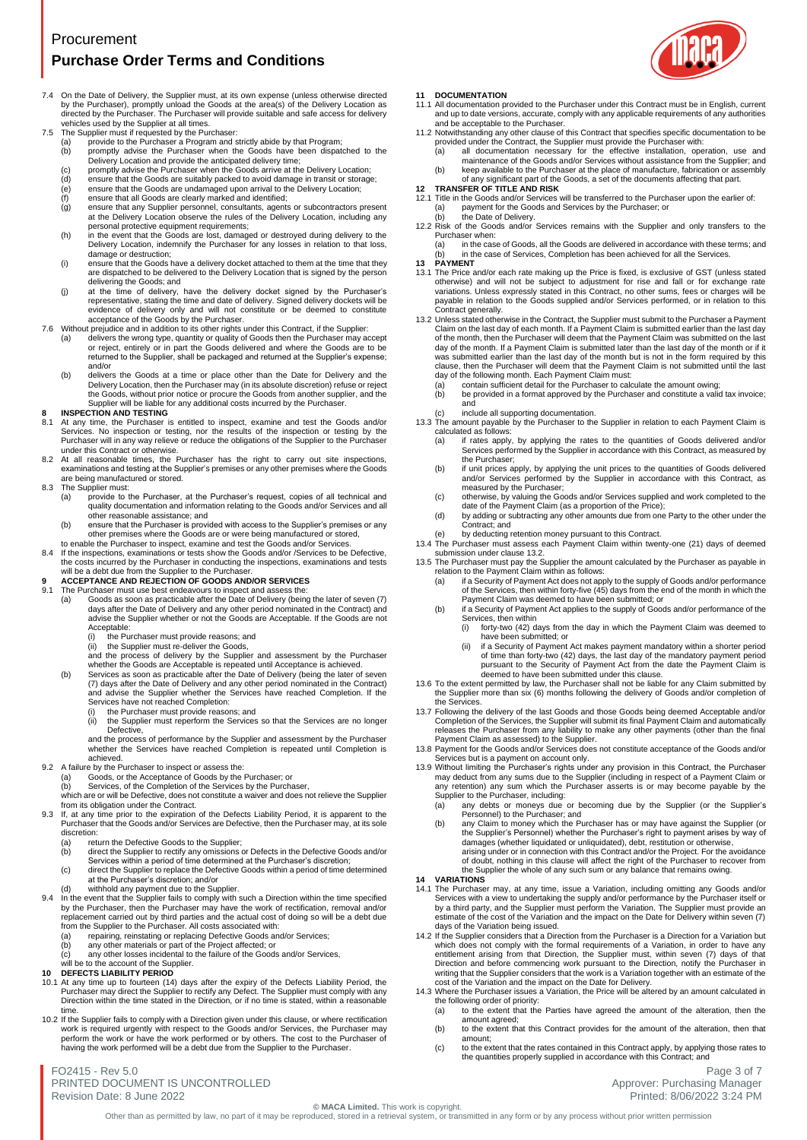

- 7.4 On the Date of Delivery, the Supplier must, at its own expense (unless otherwise directed by the Purchaser), promptly unload the Goods at the area(s) of the Delivery Location as directed by the Purchaser. The Purchaser will provide suitable and safe access for delivery
- 
- vehicles used by the Supplier at all times.<br>
7.5 The Supplier must if requested by the Purchaser:<br>
(a) provide to the Purchaser a Program and strictly abide by that Program;<br>
(b) provide to the Purchaser a Program the Good
	- (c) promptly advise the Purchaser when the Goods arrive at the Delivery Location; (d) ensure that the Goods are suitably packed to avoid damage in transit or storage;
	-
	- (e) ensure that the Goods are undamaged upon arrival to the Delivery Location; (f) ensure that all Goods are clearly marked and identified;
	- (g) ensure that any Supplier personnel, consultants, agents or subcontractors present at the Delivery Location observe the rules of the Delivery Location, including any
	- personal protective equipment requirements; (h) in the event that the Goods are lost, damaged or destroyed during delivery to the Delivery Location, indemnify the Purchaser for any losses in relation to that loss, damage or destruction;
	- (i) ensure that the Goods have a delivery docket attached to them at the time that they are dispatched to be delivered to the Delivery Location that is signed by the person delivering the Goods; and
	- (j) at the time of delivery, have the delivery docket signed by the Purchaser's representative, stating the time and date of delivery. Signed delivery dockets will be evidence of delivery only and will not constitute or be deemed to constitute acceptance of the Goods by the Purchaser.
- 
- 7.6 Without prejudice and in addition to its other rights under this Contract, if the Supplier: (a) delivers the wrong type, quantity or quality of Goods then the Purchaser may accept or reject, entirely or in part the Goods delivered and where the Goods are to be returned to the Supplier, shall be packaged and returned at the Supplier's expense; and/or
	- (b) delivers the Goods at a time or place other than the Date for Delivery and the Delivery Location, then the Purchaser may (in its absolute discretion) refuse or reject the Goods, without prior notice or procure the Goods from another supplier, and the Supplier will be liable for any additional costs incurred by the Purchaser.

- **8 INSPECTION AND TESTING** 8.1 At any time, the Purchaser is entitled to inspect, examine and test the Goods and/or Services. No inspection or testing, nor the results of the inspection or testing by the Purchaser will in any way relieve or reduce the obligations of the Supplier to the Purchaser
- under this Contract or otherwise. 8.2 At all reasonable times, the Purchaser has the right to carry out site inspections, examinations and testing at the Supplier's premises or any other premises where the Goods are being manufactured or stored.
- 8.3 The Supplier must:<br>(a) provide to
	- (a) provide to the Purchaser, at the Purchaser's request, copies of all technical and quality documentation and information relating to the Goods and/or Services and all other reasonable assistance; and
	- (b) ensure that the Purchaser is provided with access to the Supplier's premises or any other premises where the Goods are or were being manufactured or stored, to enable the Purchaser to inspect, examine and test the Goods and/or Services.
- 8.4 If the inspections, examinations or tests show the Goods and/or /Services to be Defective the costs incurred by the Purchaser in conducting the inspections, examinations and tests will be a debt due from the Supplier to the Purchaser.
- **9 ACCEPTANCE AND REJECTION OF GOODS AND/OR SERVICES**<br>9.1 The Purchaser must use best endeavours to inspect and assess the:
- The Purchaser must use best endeavours to inspect and assess the:<br>(a) Goods as soon as practicable after the Date of Delivery (being
	- (a) Goods as soon as practicable after the Date of Delivery (being the later of seven (7) days after the Date of Delivery and any other period nominated in the Contract) and advise the Supplier whether or not the Goods are Acceptable. If the Goods are not
		- Acceptable:<br>(i) the Pu<br>(ii) the Su
		- (i) the Purchaser must provide reasons; and (ii) the Supplier must re-deliver the Goods,
		- and the process of delivery by the Supplier and assessment by the Purchaser whether the Goods are Acceptable is repeated until Acceptance is achieved.
	- (b) Services as soon as practicable after the Date of Delivery (being the later of seven (7) days after the Date of Delivery and any other period nominated in the Contract) and advise the Supplier whether the Services have reached Completion. If the<br>Services have not reached Completion:<br>(i) the Purchaser must provide reasons; and
		-
		- (ii) the Supplier must reperform the Services so that the Services are no longer Defective,

and the process of performance by the Supplier and assessment by the Purchaser whether the Services have reached Completion is repeated until Completion is achieved.

- 9.2 A failure by the Purchaser to inspect or assess the:
	-

(a) Goods, or the Acceptance of Goods by the Purchaser; or<br>(b) Services, of the Completion of the Services by the Purchaser,<br>which are or will be Defective, does not constitute a waiver and does not relieve the Su

from its obligation under the Contract.

- 9.3 If, at any time prior to the expiration of the Defects Liability Period, it is apparent to the Purchaser that the Goods and/or Services are Defective, then the Purchaser may, at its sole discretion:
	- (a) return the Defective Goods to the Supplier;
	- (b) direct the Supplier to rectify any omissions or Defects in the Defective Goods and/or
	- Services within a period of time determined at the Purchaser's discretion; (c) direct the Supplier to replace the Defective Goods within a period of time determined
	- at the Purchaser's discretion; and/or
	- (d) withhold any payment due to the Supplier.
- 9.4 In the event that the Supplier fails to comply with such a Direction within the time specified<br>by the Purchaser, then the Purchaser may have the work of rectification, removal and/or<br>replacement carried out by third pa
	-
	- (b) any other materials or part of the Project affected; or (c) any other losses incidental to the failure of the Goods and/or Services,
	-
- will be to the account of the Supplier. **10 DEFECTS LIABILITY PERIOD**
- 10.1 At any time up to fourteen (14) days after the expiry of the Defects Liability Period, the Purchaser may direct the Supplier to rectify any Defect. The Supplier must comply with any Direction within the time stated in the Direction, or if no time is stated, within a reasonable
- time. 10.2 If the Supplier fails to comply with a Direction given under this clause, or where rectification work is required urgently with respect to the Goods and/or Services, the Purchaser may perform the work or have the work performed or by others. The cost to the Purchaser of having the work performed will be a debt due from the Supplier to the Purchaser

FO2415 - Rev 5.0 Page 3 of 7 PRINTED DOCUMENT IS UNCONTROLLED **Approver: Purchasing Manager** Approver: Purchasing Manager Revision Date: 8 June 2022 2:24 PM

## **11 DOCUMENTATION**

- 11.1 All documentation provided to the Purchaser under this Contract must be in English, current and up to date versions, accurate, comply with any applicable requirements of any authorities and be acceptable to the Purchaser.
- 11.2 Notwithstanding any other clause of this Contract that specifies specific documentation to be<br>provided under the Contract, the Supplier must provide the Purchaser with:<br>(a) all documentation necessary for the effectiv
	- (b) keep available to the Purchaser at the place of manufacture, fabrication or assembly of any significant part of the Goods, a set of the documents affecting that part.
		-
- **12 TRANSFER OF TITLE AND RISK** 12.1 Title in the Goods and/or Services will be transferred to the Purchaser upon the earlier of: (a) payment for the Goods and Services by the Purchaser; or (b) the Date of Delivery.
- 12.2 Risk of the Goods and/or Services remains with the Supplier and only transfers to the Purchaser when:<br>(a) in the case
- (a) in the case of Goods, all the Goods are delivered in accordance with these terms; and  $\langle h \rangle$  in the case of Senvices. Completion has been achieved for all the Senvices In the case of Services, Completion has been achieved for all the Services. **13 PAYMENT**
- 13.1 The Price and/or each rate making up the Price is fixed, is exclusive of GST (unless stated otherwise) and will not be subject to adjustment for rise and fall or for exchange rate variations. Unless expressly stated in this Contract, no other sums, fees or charges will be payable in relation to the Goods supplied and/or Services performed, or in relation to this
- <span id="page-2-0"></span>Contract generally. 13.2 Unless stated otherwise in the Contract, the Supplier must submit to the Purchaser a Payment Claim on the last day of each month. If a Payment Claim is submitted earlier than the last day of the month, then the Purchaser will deem that the Payment Claim was submitted on the last day of the month. If a Payment Claim is submitted later than the last day of the month or if it<br>was submitted earlier than the last day of the month but is not in the form required by this<br>clause, then the Purchaser will d
	- day of the following month. Each Payment Claim must: (a) contain sufficient detail for the Purchaser to calculate the amount owing;
	- $\overrightarrow{b}$  be provided in a format approved by the Purchaser and constitute a valid tax invoice; and
	-

(c) include all supporting documentation. 13.3 The amount payable by the Purchaser to the Supplier in relation to each Payment Claim is calculated as follows:<br>(a) if rates apply

- (a) if rates apply, by applying the rates to the quantities of Goods delivered and/or Services performed by the Supplier in accordance with this Contract, as measured by the Purchaser;
- (b) if unit prices apply, by applying the unit prices to the quantities of Goods delivered and/or Services performed by the Supplier in accordance with this Contract, as measured by the Purchaser;
- (c) otherwise, by valuing the Goods and/or Services supplied and work completed to the date of the Payment Claim (as a proportion of the Price);
- (d) by adding or subtracting any other amounts due from one Party to the other under the Contract; and
- 
- (e) by deducting retention money pursuant to this Contract. 13.4 The Purchaser must assess each Payment Claim within twenty-one (21) days of deemed submission under claus[e 13.2.](#page-2-0)
- 13.5 The Purchaser must pay the Supplier the amount calculated by the Purchaser as payable in relation to the Payment Claim within as follows:
	- (a) if a Security of Payment Act does not apply to the supply of Goods and/or performance<br>of the Services, then within forty-five (45) days from the end of the month in which the<br>Payment Claim was deemed to have been submi
		- Services, then within
		- (i) forty-two (42) days from the day in which the Payment Claim was deemed to have been submitted; or
		- (ii) if a Security of Payment Act makes payment mandatory within a shorter period of time than forty-two (42) days, the last day of the mandatory payment period pursuant to the Security of Payment Act from the date the Payment Claim is
- deemed to have been submitted under this clause. 13.6 To the extent permitted by law, the Purchaser shall not be liable for any Claim submitted by the Supplier more than six (6) months following the delivery of Goods and/or completion of the Services.
- 13.7 Following the delivery of the last Goods and those Goods being deemed Acceptable and/or Completion of the Services, the Supplier will submit its final Payment Claim and automatically releases the Purchaser from any liability to make any other payments (other than the final
- Payment Claim as assessed) to the Supplier. 13.8 Payment for the Goods and/or Services does not constitute acceptance of the Goods and/or
- Services but is a payment on account only. 13.9 Without limiting the Purchaser's rights under any provision in this Contract, the Purchaser may deduct from any sums due to the Supplier (including in respect of a Payment Claim or any retention) any sum which the Purchaser asserts is or may become payable by the Supplier to the Purchaser, including:
	- (a) any debts or moneys due or becoming due by the Supplier (or the Supplier's Personnel) to the Purchaser; and
	- (b) any Claim to money which the Purchaser has or may have against the Supplier (or the Supplier's Personnel) whether the Purchaser's right to payment arises by way of damages (whether liquidated or unliquidated), debt, restitution or otherwise, arising under or in connection with this Contract and/or the Project. For the avoidance
		- of doubt, nothing in this clause will affect the right of the Purchaser to recover from the Supplier the whole of any such sum or any balance that remains owing.

### <span id="page-2-1"></span>**14 VARIATIONS**

- 14.1 The Purchaser may, at any time, issue a Variation, including omitting any Goods and/or Services with a view to undertaking the supply and/or performance by the Purchaser itself or<br>by a third party, and the Supplier must perform the Variation. The Supplier must provide an<br>estimate of the cost of the Variation
- days of the Variation being issued. 14.2 If the Supplier considers that a Direction from the Purchaser is a Direction for a Variation but which does not comply with the formal requirements of a Variation, in order to have any entitlement arising from that Direction, the Supplier must, within seven (7) days of that Direction and before commencing work pursuant to the Direction, notify the Purchaser in writing that the Supplier considers that the work is a Variation together with an estimate of the cost of the Variation and the impact on the Date for Delivery.
- 14.3 Where the Purchaser issues a Variation, the Price will be altered by an amount calculated in
	- the following order of priority: (a) to the extent that the Parties have agreed the amount of the alteration, then the amount agreed;
	- (b) to the extent that this Contract provides for the amount of the alteration, then that amount;
	- (c) to the extent that the rates contained in this Contract apply, by applying those rates to the quantities properly supplied in accordance with this Contract; and

**© MACA Limited.** This work is copyright. Other than as permitted by law, no part of it may be reproduced, stored in a retrieval system, or transmitted in any form or by any process without prior written permission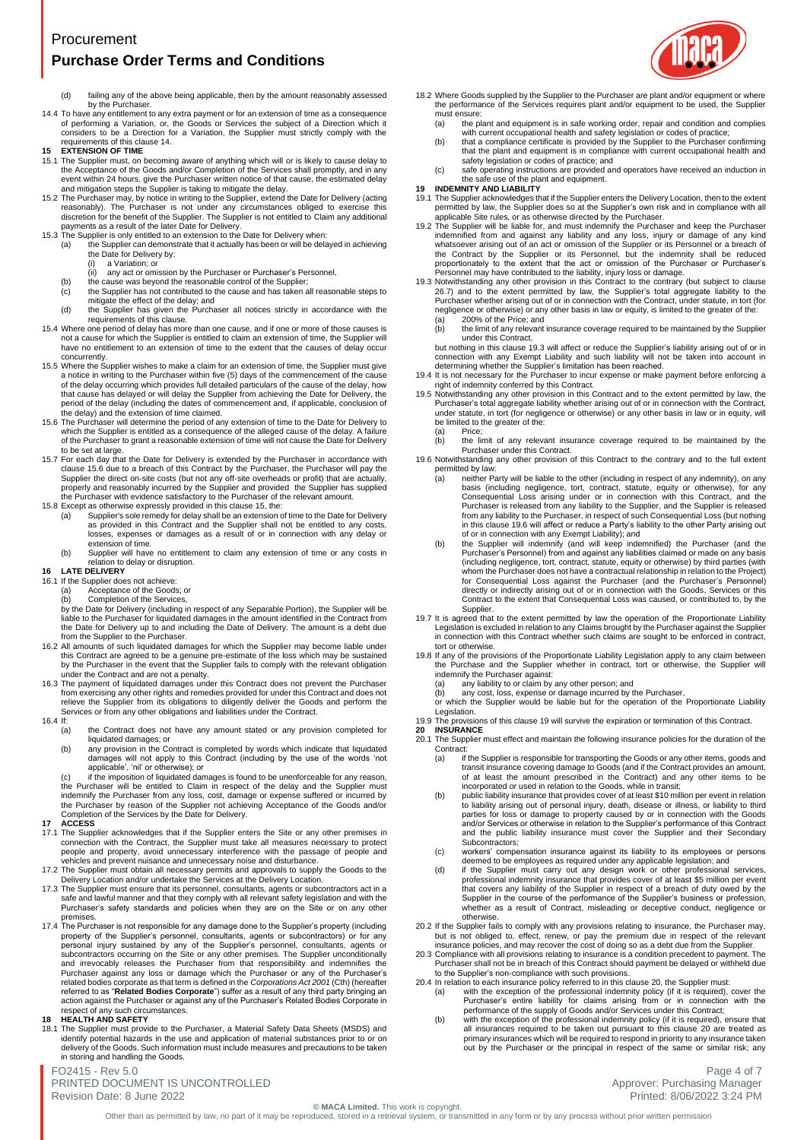- (d) failing any of the above being applicable, then by the amount reasonably assessed by the Purchaser
- 14.4 To have any entitlement to any extra payment or for an extension of time as a consequence of performing a Variation, or, the Goods or Services the subject of a Direction which it considers to be a Direction for a Variation, the Supplier must strictly comply with the requirements of this claus[e 14.](#page-2-1)
- <span id="page-3-1"></span>**EXTENSION OF TIME**
- 15.1 The Supplier must, on becoming aware of anything which will or is likely to cause delay to the Acceptance of the Goods and/or Completion of the Services shall promptly, and in any event within 24 hours, give the Purchaser written notice of that cause, the estimated delay
- and mitigation steps the Supplier is taking to mitigate the delay.<br>
15.2 The Purchaser may, by notice in writing to the Supplier, extend the Date for Delivery (acting<br>
reasonably). The Purchaser is not under any circumstan
	- (a) the Supplier can demonstrate that it actually has been or will be delayed in achieving the Date for Delivery by:<br>(i) a Variation: or
		- a Variation; or
		- any act or omission by the Purchaser or Purchaser's Personnel,
		- (b) the cause was beyond the reasonable control of the Supplier;<br>(c) the Supplier has not contributed to the cause and has taken a
		-
		- (c) the Supplier has not contributed to the cause and has taken all reasonable steps to mitigate the effect of the delay; and (d) the Supplier has given the Purchaser all notices strictly in accordance with the requirements of this clause.
- 15.4 Where one period of delay has more than one cause, and if one or more of those causes is not a cause for which the Supplier is entitled to claim an extension of time, the Supplier will have no entitlement to an extension of time to the extent that the causes of delay occur **concurrently**
- 15.5 Where the Supplier wishes to make a claim for an extension of time, the Supplier must give a notice in writing to the Purchaser within five (5) days of the commencement of the cause of the delay occurring which provides full detailed particulars of the cause of the delay, how that cause has delayed or will delay the Supplier from achieving the Date for Delivery, the period of the delay (including the dates of commencement and, if applicable, conclusion of
- <span id="page-3-0"></span>the delay) and the extension of time claimed. 15.6 The Purchaser will determine the period of any extension of time to the Date for Delivery to which the Supplier is entitled as a consequence of the alleged cause of the delay. A failure of the Purchaser to grant a reasonable extension of time will not cause the Date for Delivery
- to be set at large. 15.7 For each day that the Date for Delivery is extended by the Purchaser in accordance with claus[e 15.6](#page-3-0) due to a breach of this Contract by the Purchaser, the Purchaser will pay the Supplier the direct on-site costs (but not any off-site overheads or profit) that are actually, properly and reasonably incurred by the Supplier and provided the Supplier has supplied<br>the Purchaser with evidence satisfactory to the Purchaser of the relevant amount.<br>15.8 Except as otherwise expressly provided in this
	- (a) Supplier's sole remedy for delay shall be an extension of time to the Date for Delivery as provided in this Contract and the Supplier shall not be entitled to any costs, losses, expenses or damages as a result of or in connection with any delay or extension of time.
	- (b) Supplier will have no entitlement to claim any extension of time or any costs in relation to delay or disruption.

## **16 LATE DELIVERY**

- 16.1 If the Supplier does not achieve:
	- (a) Acceptance of the Goods; or<br>(b) Completion of the Services. Completion of the Services
- by the Date for Delivery (including in respect of any Separable Portion), the Supplier will be liable to the Purchaser for liquidated damages in the amount identified in the Contract from the Date for Delivery up to and including the Date of Delivery. The amount is a debt due
- from the Supplier to the Purchaser. 16.2 All amounts of such liquidated damages for which the Supplier may become liable under this Contract are agreed to be a genuine pre-estimate of the loss which may be sustained by the Purchaser in the event that the Supplier fails to comply with the relevant obligation
- under the Contract and are not a penalty. 16.3 The payment of liquidated damages under this Contract does not prevent the Purchaser from exercising any other rights and remedies provided for under this Contract and does not<br>relieve the Supplier from its obligations to diligently deliver the Goods and perform the<br>Services or from any other obligations a
- 16.4 If:<br>(a)
	- the Contract does not have any amount stated or any provision completed for liquidated damages; or (b) any provision in the Contract is completed by words which indicate that liquidated
	- damages will not apply to this Contract (including by the use of the words 'not applicable', 'nil' or otherwise); or

(c) if the imposition of liquidated damages is found to be unenforceable for any reason,<br>the Purchaser will be entitled to Claim in respect of the delay and the Supplier must<br>indemnify the Purchaser from any loss, cost, da the Purchaser by reason of the Supplier not achieving Acceptance of the Goods and/or Completion of the Services by the Date for Delivery.

- **17 ACCESS** 17.1 The Supplier acknowledges that if the Supplier enters the Site or any other premises in connection with the Contract, the Supplier must take all measures necessary to protect people and property, avoid unnecessary interference with the passage of people and
- vehicles and prevent nuisance and unnecessary noise and disturbance.<br>17.2 The Supplier must obtain all necessary permits and approvals to supply the Goods to the<br>Delivery Location and/or undertake the Services at the Deliv
- 17.3 The Supplier must ensure that its personnel, consultants, agents or subcontractors act in a safe and lawful manner and that they comply with all relevant safety legislation and with the Purchaser's safety standards and policies when they are on the Site or on any other premises.
- 17.4 The Purchaser is not responsible for any damage done to the Supplier's property (including property of the Supplier's personnel, consultants, agents or subcontractors) or for any personal injury sustained by any of the Supplier's personnel, consultants, agents or<br>subcontractors occurring on the Site or any other premises. The Supplier unconditionally<br>and irrevocably releases the Purchaser from that action against the Purchaser or against any of the Purchaser's Related Bodies Corporate in respect of any such circumstances.
- **18 HEALTH AND SAFETY**
- 18.1 The Supplier must provide to the Purchaser, a Material Safety Data Sheets (MSDS) and identify potential hazards in the use and application of material substances prior to or on delivery of the Goods. Such information must include measures and precautions to be taken in storing and handling the Goods.

FO2415 - Rev 5.0 Page 4 of 7 PRINTED DOCUMENT IS UNCONTROLLED **Approver: Purchasing Manager** Approver: Purchasing Manager Revision Date: 8 June 2022 2:24 PM



- 18.2 Where Goods supplied by the Supplier to the Purchaser are plant and/or equipment or where the performance of the Services requires plant and/or equipment to be used, the Supplier must ensure<br> $(a)$  the p
	- (a) the plant and equipment is in safe working order, repair and condition and complies with current occupational health and safety legislation or codes of practice;
	- (b) that a compliance certificate is provided by the Supplier to the Purchaser confirming that the plant and equipment is in compliance with current occupational health and safety legislation or codes of practice; and
	- (c) safe operating instructions are provided and operators have received an induction in the safe use of the plant and equipment.
- <span id="page-3-4"></span>**19 INDEMNITY AND LIABILITY** 19.1 The Supplier acknowledges that if the Supplier enters the Delivery Location, then to the extent permitted by law, the Supplier does so at the Supplier's own risk and in compliance with all applicable Site rules, or as otherwise directed by the Purchaser.
- 19.2 The Supplier will be liable for, and must indemnify the Purchaser and keep the Purchaser<br>indemnified from and against any liability and any loss, injury or damage of any kind<br>whatsoever arising out of an act or omissi
- <span id="page-3-2"></span>Personnel may have contributed to the liability, injury loss or damage. 19.3 Notwithstanding any other provision in this Contract to the contrary (but subject to clause 26.7) and to the extent permitted by law, the Supplier's total aggregate liability to the Purchaser whether arising out of or in connection with the Contract, under statute, in tort (for negligence or otherwise) or any other basis in law or equity, is limited to the greater of the:
	- (a) 200% of the Price; and<br>(b) the limit of any relevant (b) the limit of any relevant insurance coverage required to be maintained by the Supplier under this Contract,

but nothing in this clause [19.3](#page-3-2) will affect or reduce the Supplier's liability arising out of or in connection with any Exempt Liability and such liability will not be taken into account in determining whether the Supplier

- 19.5 Notwithstanding any other provision in this Contract and to the extent permitted by law, the Purchaser's total aggregate liability whether arising out of or in connection with the Contract, under statute, in tort (for negligence or otherwise) or any other basis in law or in equity, will be limited to the greater of the:
	- (a) Price;
	- the limit of any relevant insurance coverage required to be maintained by the Purchaser under this Contract.
- <span id="page-3-3"></span>19.6 Notwithstanding any other provision of this Contract to the contrary and to the full extent permitted by law:<br>(a) neither P.
	- neither Party will be liable to the other (including in respect of any indemnity), on any basis (including negligence, tort, contract, statute, equity or otherwise), for any<br>Consequential Loss arising under or in connection with this Contract, and the<br>Purchaser is released from any liability to the Supplier, an from any liability to the Purchaser, in respect of such Consequential Loss (but nothing in this claus[e 19.6](#page-3-3) will affect or reduce a Party's liability to the other Party arising out
	- of or in connection with any Exempt Liability); and<br>the Supplier will indemnify (and will keep indemnified) the Purchaser (and the<br>Purchaser's Personnel) from and against any liabilities claimed or made on any basis<br>(inclu whom the Purchaser does not have a contractual relationship in relation to the Project) for Consequential Loss against the Purchaser (and the Purchaser's Personnel)<br>directly or indirectly arising out of or in connection with the Goods, Services or this<br>Contract to the extent that Consequential Loss was caused Supplier.
- 19.7 It is agreed that to the extent permitted by law the operation of the Proportionate Liability Legislation is excluded in relation to any Claims brought by the Purchaser against the Supplier in connection with this Contract whether such claims are sought to be enforced in contract, tort or otherwise.
- 19.8 If any of the provisions of the Proportionate Liability Legislation apply to any claim between the Purchase and the Supplier whether in contract, tort or otherwise, the Supplier will
	- indemnify the Purchaser against: (a) any liability to or claim by any other person; and
	-
	- (b) any cost, loss, expense or damage incurred by the Purchaser, or which the Supplier would be liable but for the operation of the Proportionate Liability Legislation.
- 19.9 The provisions of this claus[e 19](#page-3-4) will survive the expiration or termination of this Contract. **20 INSURANCE**
- <span id="page-3-5"></span>20.1 The Supplier must effect and maintain the following insurance policies for the duration of the Contract:<br>(a) if
	- if the Supplier is responsible for transporting the Goods or any other items, goods and transit insurance covering damage to Goods (and if the Contract provides an amount, of at least the amount prescribed in the Contract) and any other items to be incorporated or used in relation to the Goods, while in transit;
	- (b) public liability insurance that provides cover of at least \$10 million per event in relation to liability arising out of personal injury, death, disease or illness, or liability to third parties for loss or damage to property caused by or in connection with the Goods<br>and/or Services or otherwise in relation to the Supplier's performance of this Contract<br>and the public liability insurance must cover the Sup Subcontractors;
	- (c) workers' compensation insurance against its liability to its employees or persons
	- deemed to be employees as required under any applicable legislation; and<br>(d) if the Supplier must carry out any design work or other professional services,<br>professional indemnity insurance that provides cover of at least \$ that covers any liability of the Supplier in respect of a breach of duty owed by the Supplier in the course of the performance of the Supplier's business or profession, whether as a result of Contract, misleading or deceptive conduct, negligence or otherwise.
- 20.2 If the Supplier fails to comply with any provisions relating to insurance, the Purchaser may, but is not obliged to, effect, renew, or pay the premium due in respect of the relevant
- insurance policies, and may recover the cost of doing so as a debt due from the Supplier. 20.3 Compliance with all provisions relating to insurance is a condition precedent to payment. The Purchaser shall not be in breach of this Contract should payment be delayed or withheld due to the Supplier's non-compliance with such provisions.
- 
- 20.4 In relation to each insurance policy referred to in this claus[e 20,](#page-3-5) the Supplier must:<br>
(a) with the exception of the professional indemnity policy (if it is required), cover the<br>
Purchaser's entire liability for clai
	- all insurances required to be taken out pursuant to this clause [20](#page-3-5) are treated as primary insurances which will be required to respond in priority to any insurance taken out by the Purchaser or the principal in respect of the same or similar risk; any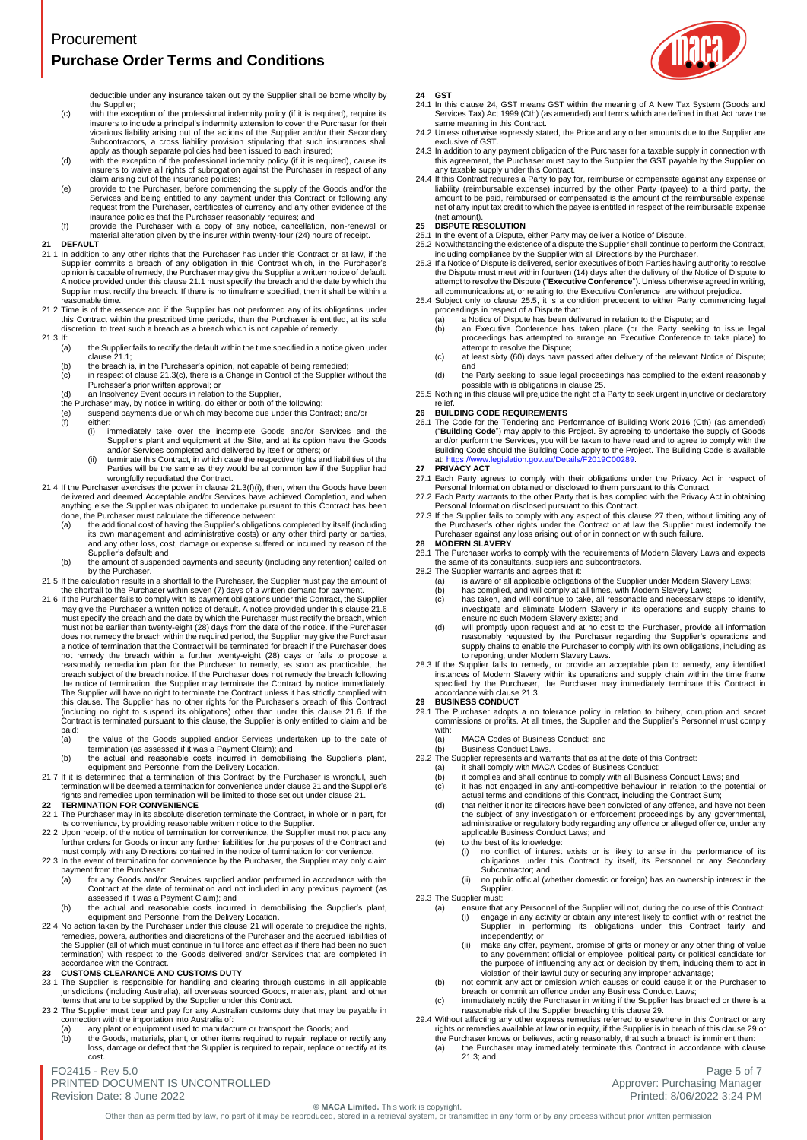

deductible under any insurance taken out by the Supplier shall be borne wholly by the Supplier;

- (c) with the exception of the professional indemnity policy (if it is required), require its insurers to include a principal's indemnity extension to cover the Purchaser for their vicarious liability arising out of the actions of the Supplier and/or their Secondary Subcontractors, a cross liability provision stipulating that such insurances shall<br>apply as though separate policies had been issued to each insured;<br>(d) with the exception of the professional indemnity policy (if it is re
- insurers to waive all rights of subrogation against the Purchaser in respect of any claim arising out of the insurance policies;
- (e) provide to the Purchaser, before commencing the supply of the Goods and/or the Services and being entitled to any payment under this Contract or following any request from the Purchaser, certificates of currency and an
- (f) provide the Purchaser with a copy of any notice, cancellation, non-renewal or material alteration given by the insurer within twenty-four (24) hours of receipt.
- <span id="page-4-7"></span>**21 DEFAULT**
- <span id="page-4-3"></span>21.1 In addition to any other rights that the Purchaser has under this Contract or at law, if the Supplier commits a breach of any obligation in this Contract which, in the Purchaser's<br>opinion is capable of remedy, the Purchaser may give the Supplier a written notice of default.<br>A notice provided under this claus[e 21.1](#page-4-3) Supplier must rectify the breach. If there is no timeframe specified, then it shall be within a reasonable time.
- 21.2 Time is of the essence and if the Supplier has not performed any of its obligations under this Contract within the prescribed time periods, then the Purchaser is entitled, at its sole discretion, to treat such a breach as a breach which is not capable of remedy.
- <span id="page-4-11"></span><span id="page-4-4"></span>21.3 If:
	- (a) the Supplier fails to rectify the default within the time specified in a notice given under claus[e 21.1;](#page-4-3)
	- (b) the breach is, in the Purchaser's opinion, not capable of being remedied;<br>(c) in respect of clause 21.3(c), there is a Change in Control of the Supplier
	- (c) in respect of claus[e 21.3\(c\),](#page-4-4) there is a Change in Control of the Supplier without the Purchaser's prior written approval; or
	- (d) an Insolvency Event occurs in relation to the Supplier,
	-
	- the Purchaser may, by notice in writing, do either or both of the following: (e) suspend payments due or which may become due under this Contract; and/or
	- (e) suspe<br>(f) either:<br>(i) ii
		- ...<br>immediately take over the incomplete Goods and/or Services and the Supplier's plant and equipment at the Site, and at its option have the Goods
		- and/or Services completed and delivered by itself or others; or (ii) terminate this Contract, in which case the respective rights and liabilities of the Parties will be the same as they would be at common law if the Supplier had wrongfully repudiated the Contract.
- <span id="page-4-5"></span>21.4 If the Purchaser exercises the power in claus[e 21.3\(f\)\(i\),](#page-4-5) then, when the Goods have been delivered and deemed Acceptable and/or Services have achieved Completion, and when anything else the Supplier was obligated to undertake pursuant to this Contract has been done, the Purchaser must calculate the difference between:<br>(a) the additional cost of having the Supplier's obligations completed by itself (including
	- its own management and administrative costs) or any other third party or parties, and any other loss, cost, damage or expense suffered or incurred by reason of the Supplier's default; and
	- (b) the amount of suspended payments and security (including any retention) called on by the Purchaser.
- 21.5 If the calculation results in a shortfall to the Purchaser, the Supplier must pay the amount of
- <span id="page-4-6"></span>the shortfall to the Purchaser within seven (7) days of a written demand for payment.<br>21.6 If the Purchaser falls to comply with its payment obligations under this Contract, the Supplier<br>may give the Purchaser a written no not remedy the breach within a further twenty-eight (28) days or fails to propose a reasonably remediation plan for the Purchaser to remedy, as soon as practicable, the reach subject of the breach notice. If the Purchaser The Supplier will have no right to terminate the Contract unless it has strictly complied with this clause. The Supplier has no other rights for the Purchaser's breach of this Contract (including no right to suspend its obligations) other than under this clause [21.6.](#page-4-6) If the Contract is terminated pursuant to this clause, the Supplier is only entitled to claim and be paid:<br>(a)
	- a) the value of the Goods supplied and/or Services undertaken up to the date of<br>termination (as assessed if it was a Payment Claim); and<br>the actual and reasonable costs incurred in demobilising the Supplier's plant,
	- equipment and Personnel from the Delivery Location.
- 21.7 If it is determined that a termination of this Contract by the Purchaser is wrongful, such termination will be deemed a termination for convenience under claus[e 21](#page-4-7) and the Supplier's rights and remedies upon termination will be limited to those set out under claus[e 21.](#page-4-7) **22 TERMINATION FOR CONVENIENCE**
- 
- 22.1 The Purchaser may in its absolute discretion terminate the Contract, in whole or in part, for<br>its convenience, by providing reasonable written notice to the Supplier.<br>22.2 Upon receipt of the notice of termination for
- further orders for Goods or incur any further liabilities for the purposes of the Contract and must comply with any Directions contained in the notice of termination for convenience.
- 22.3 In the event of termination for convenience by the Purchaser, the Supplier may only claim payment from the Purchaser:
	- (a) for any Goods and/or Services supplied and/or performed in accordance with the Contract at the date of termination and not included in any previous payment (as
- assessed if it was a Payment Claim); and<br>the actual and reasonable costs incurred in demobilising the Supplier's plant,<br>equipment and Personnel from the Delivery Location.<br>22.4 No action taken by the Purchaser under this c
- the Supplier (all of which must continue in full force and effect as if there had been no such termination) with respect to the Goods delivered and/or Services that are completed in accordance with the Contract.

## **23 CUSTOMS CLEARANCE AND CUSTOMS DUTY**

- 23.1 The Supplier is responsible for handling and clearing through customs in all applicable jurisdictions (including Australia), all overseas sourced Goods, materials, plant, and other
- items that are to be supplied by the Supplier under this Contract.<br>23.2 The Supplier must bear and pay for any Australian customs duty that may be payable in<br>connection with the importation into Australia of:
	- (a) any plant or equipment used to manufacture or transport the Goods; and (b) the Goods, materials, plant, or other items required to repair, replace or the Goods, materials, plant, or other items required to repair, replace or rectify any
	- loss, damage or defect that the Supplier is required to repair, replace or rectify at its cost

## FO2415 - Rev 5.0 Page 5 of 7 PRINTED DOCUMENT IS UNCONTROLLED **Approver: Purchasing Manager** Approver: Purchasing Manager Revision Date: 8 June 2022 2:24 PM

## <span id="page-4-8"></span>**24 GST**

- 24.1 In this claus[e 24,](#page-4-8) GST means GST within the meaning of A New Tax System (Goods and Services Tax) Act 1999 (Cth) (as amended) and terms which are defined in that Act have the
- same meaning in this Contract. 24.2 Unless otherwise expressly stated, the Price and any other amounts due to the Supplier are exclusive of GST.
- 24.3 In addition to any payment obligation of the Purchaser for a taxable supply in connection with this agreement, the Purchaser must pay to the Supplier the GST payable by the Supplier on any taxable supply under this Contract.
- 24.4 If this Contract requires a Party to pay for, reimburse or compensate against any expense or<br>liability (reimbursable expense) incurred by the other Party (payee) to a third party, the<br>amount to be paid, reimbursed or net of any input tax credit to which the payee is entitled in respect of the reimbursable expense (net amount).
- 
- <span id="page-4-10"></span>**25 DISPUTE RESOLUTION**
- 
- <span id="page-4-12"></span>25.1 In the event of a Dispute, either Party may deliver a Notice of Dispute.<br>25.2 Notwithstanding the existence of a dispute the Supplier shall continue to perform the Contract,<br>including compliance by the Supplier with a
- - proceedings in respect of a Dispute that: (a) a Notice of Dispute has been delivered in relation to the Dispute; and
	- (b) an Executive Conference has taken place (or the Party seeking to issue legal proceedings has attempted to arrange an Executive Conference to take place) to attempt to resolve the Dispute;
	- (c) at least sixty (60) days have passed after delivery of the relevant Notice of Dispute; and
- (d) the Party seeking to issue legal proceedings has complied to the extent reasonably possible with is obligations in claus[e 25.](#page-4-10)
- <span id="page-4-9"></span>25.5 Nothing in this clause will prejudice the right of a Party to seek urgent injunctive or declaratory

- relief.<br>26. BUILDING CODE REQUIREMENTS<br>26.1 The Code for the Tendering and Performance of Building Work 2016 (Cth) (as amended)<br>("Building Code") may apply to this Project. By agreeing to undertake the supply of Goods<br>and/ Building Code should the Building Code apply to the Project. The Building Code is available<br>at: <u>https://www.legislation.gov.au/Details/F2019C00289</u>.
- <span id="page-4-0"></span>**27 PRIVACY ACT**
- 27.1 Each Party agrees to comply with their obligations under the Privacy Act in respect of Personal Information obtained or disclosed to them pursuant to this Contract.
- 27.2 Each Party warrants to the other Party that is has complied with the Privacy Act in obtaining Personal Information disclosed pursuant to this Contract.
- 27.3 If the Supplier fails to comply with any aspect of this claus[e 27](#page-4-0) then, without limiting any of the Purchaser's other rights under the Contract or at law the Supplier must indemnify the Purchaser against any loss arising out of or in connection with such failure. **28 MODERN SLAVERY**

- <span id="page-4-1"></span>28.1 The Purchaser works to comply with the requirements of Modern Slavery Laws and expects the same of its consultants, suppliers and subcontractors.
- 28.2 The Supplier warrants and agrees that it:<br>(a) is aware of all applicable obligation
	-
	- (a) is aware of all applicable obligations of the Supplier under Modern Slavery Laws;<br>(b) has complied, and will comply at all times, with Modern Slavery Laws;<br>(c) has taken, and will continue to take, all reasonable and n
	- ensure no such Modern Slavery exists; and (d) will promptly upon request and at no cost to the Purchaser, provide all information reasonably requested by the Purchaser regarding the Supplier's operations and supply chains to enable the Purchaser to comply with its own obligations, including as
- to reporting, under Modern Slavery Laws.<br>28.3 If the Supplier fails to remedy, or provide an acceptable plan to remedy, any identified<br>instances of Modern Slavery within its operations and supply chain within the time fram cordance with clause [21.3.](#page-4-11)
- <span id="page-4-2"></span>**29 BUSINESS CONDUCT**
- 29.1 The Purchaser adopts a no tolerance policy in relation to bribery, corruption and secret commissions or profits. At all times, the Supplier and the Supplier's Personnel must comply
	- with:<br>(a) MACA Codes of Business Conduct; and
- (b) Business Conduct Laws. 29.2 The Supplier represents and warrants that as at the date of this Contract:
	-
	- (a) it shall comply with MACA Codes of Business Conduct;<br>(b) it complies and shall continue to comply with all Busines
	- (b) it complies and shall continue to comply with all Business Conduct Laws; and<br>(c) it has not engaged in any anti-competitive behaviour in relation to the potential or<br>actual terms and conditions of this Contract, includ
	- (d) that neither it nor its directors have been convicted of any offence, and have not been the subject of any investigation or enforcement proceedings by any governmental, administrative or regulatory body regarding any offence or alleged offence, under any applicable Business Conduct Laws; and
	- (e) to the best of its knowledge:
		- (i) no conflict of interest exists or is likely to arise in the performance of its obligations under this Contract by itself, its Personnel or any Secondary Subcontractor; and
		- (ii) no public official (whether domestic or foreign) has an ownership interest in the Supplier.
- 29.3 The Supplier must:
	- ...<br>ensure that any Personnel of the Supplier will not, during the course of this Contract: (i) engage in any activity or obtain any interest likely to conflict with or restrict the Supplier in performing its obligations under this Contract fairly and independently; or
		- (ii) make any offer, payment, promise of gifts or money or any other thing of value to any government official or employee, political party or political candidate for the purpose of influencing any act or decision by them, inducing them to act in violation of their lawful duty or securing any improper advantage;
	- (b) not commit any act or omission which causes or could cause it or the Purchaser to<br>breach, or commit an offence under any Business Conduct Laws;<br>(c) immediately notify the Purchaser in writing if the Supplier has breach
- 29.4 Without affecting any other express remedies referred to elsewhere in this Contract or any
- rights or remedies available at law or in equity, if the Supplier is in breach of this claus[e 29](#page-4-2) or the Purchaser knows or believes, acting reasonably, that such a breach is imminent then: (a) the Purchaser may immediately terminate this Contract in accordance with clause
	- [21.3;](#page-4-11) and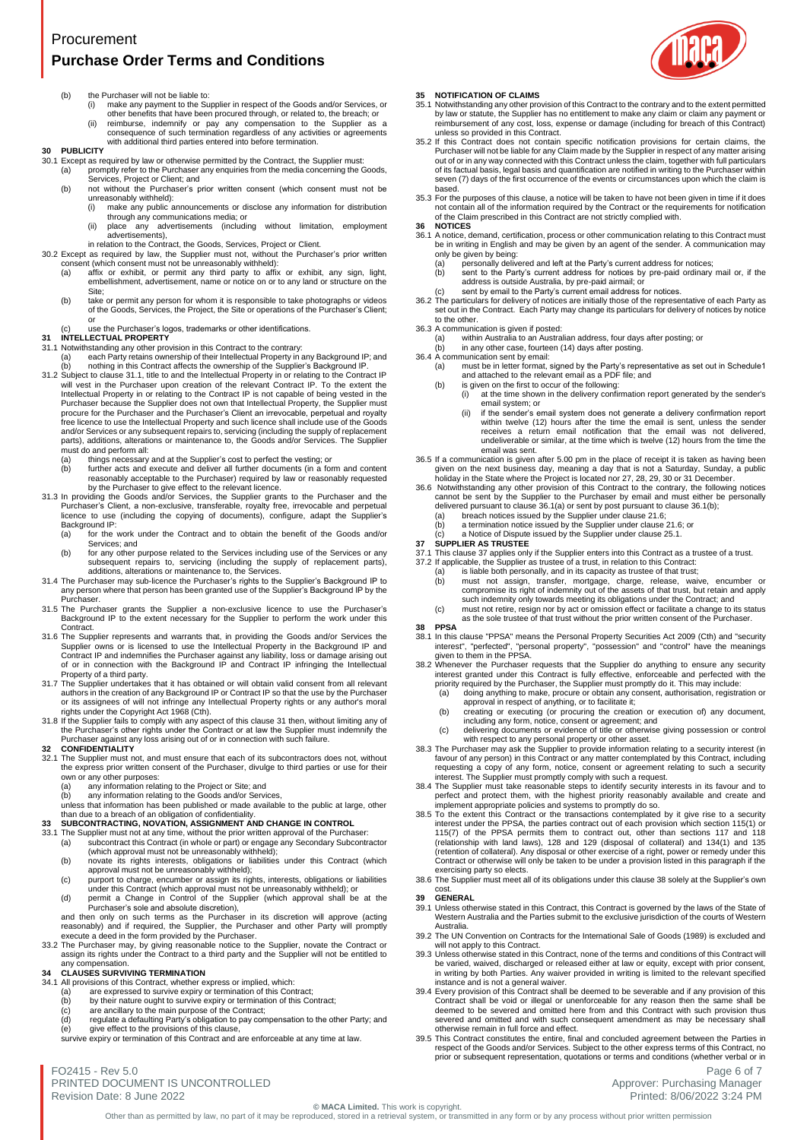- (b) the Purchaser will not be liable to:
	- (i) make any payment to the Supplier in respect of the Goods and/or Services, or other benefits that have been procured through, or related to, the breach; or
		- (ii) reimburse, indemnify or pay any compensation to the Supplier as a consequence of such termination regardless of any activities or agreements with additional third parties entered into before termination.
- **30 PUBLICITY**
- 30.1 Except as required by law or otherwise permitted by the Contract, the Supplier must:<br>(a) promptly refer to the Purchaser any enquiries from the media concerning the G
	- promptly refer to the Purchaser any enquiries from the media concerning the Goods, Services, Project or Client; and
	- (b) not without the Purchaser's prior written consent (which consent must not be unreasonably withheld):<br>(i) make any public a make any public announcements or disclose any information for distribution
		- through any communications media; or (ii) place any advertisements (including without limitation, employment advertisements),
	- in relation to the Contract, the Goods, Services, Project or Client.
- 30.2 Except as required by law, the Supplier must not, without the Purchaser's prior written
	- consent (which consent must not be unreasonably withheld):<br>(a) affix or exhibit, or permit any third party to affix (a) affix or exhibit, or permit any third party to affix or exhibit, any sign, light, embellishment, advertisement, name or notice on or to any land or structure on the Site:
	- (b) take or permit any person for whom it is responsible to take photographs or videos of the Goods, Services, the Project, the Site or operations of the Purchaser's Client;
	- or use the Purchaser's logos, trademarks or other identifications.

## <span id="page-5-1"></span>**31 INTELLECTUAL PROPERTY**

- <span id="page-5-2"></span>31.1 Notwithstanding any other provision in this Contract to the contrary: (a) each Party retains ownership of their Intellectual Property in any Background IP; and
	-
- (b) nothing in this Contract affects the ownership of the Supplier's Background IP.<br>31.2 Subject to clause [31.1,](#page-5-2) title to and the Intellectual Property in or relating to the Contract IP<br>will vest in the Purchaser upon crea Intellectual Property in or relating to the Contract IP is not capable of being vested in the Purchaser because the Supplier does not own that Intellectual Property, the Supplier must procure for the Purchaser and the Purchaser's Client an irrevocable, perpetual and royalty free licence to use the Intellectual Property and such licence shall include use of the Goods and/or Services or any subsequent repairs to, servicing (including the supply of replacement parts), additions, alterations or maintenance to, the Goods and/or Services. The Supplier must do and perform all:
	- (a) things necessary and at the Supplier's cost to perfect the vesting; or<br>(b) turther acts and execute and deliver all further documents (in a for-
	- further acts and execute and deliver all further documents (in a form and content reasonably acceptable to the Purchaser) required by law or reasonably requested
- by the Purchaser to give effect to the relevant licence.<br>31.3 In providing the Goods and/or Services, the Supplier grants to the Purchaser and the<br>Purchaser's Client, a non-exclusive, transferable, royalty free, irrevocabl licence to use (including the copying of documents), configure, adapt the Supplier's Background IP:
	- (a) for the work under the Contract and to obtain the benefit of the Goods and/or Services; and
	- (b) for any other purpose related to the Services including use of the Services or any subsequent repairs to, servicing (including the supply of replacement parts), additions, alterations or maintenance to, the Services.
- 31.4 The Purchaser may sub-licence the Purchaser's rights to the Supplier's Background IP to any person where that person has been granted use of the Supplier's Background IP by the **Purchaser**
- 31.5 The Purchaser grants the Supplier a non-exclusive licence to use the Purchaser's Background IP to the extent necessary for the Supplier to perform the work under this Contract.
- 31.6 The Supplier represents and warrants that, in providing the Goods and/or Services the Supplier owns or is licensed to use the Intellectual Property in the Background IP and Contract IP and indemnifies the Purchaser ag
- Property of a third party.<br>31.7 The Supplier undertakes that it has obtained or will obtain valid consent from all relevant<br>authors in the creation of any Background IP or Contract IP so that the use by the Purchaser<br>or it
- <span id="page-5-0"></span>31.8 If the Supplier fails to comply with any aspect of this claus[e 31](#page-5-1) then, without limiting any of the Purchaser's other rights under the Contract or at law the Supplier must indemnify the Purchaser against any loss arising out of or in connection with such failure.
- **32 CONFIDENTIALITY**<br>32.1 The Supplier must n
- The Supplier must not, and must ensure that each of its subcontractors does not, without the express prior written consent of the Purchaser, divulge to third parties or use for their
	- own or any other purposes: (a) any information relating to the Project or Site; and
	-
	- (b) any information relating to the Goods and/or Services, unless that information has been published or made available to the public at large, other than due to a breach of an obligation of confidentiality.

- **33 SUBCONTRACTING, NOVATION, ASSIGNMENT AND CHANGE IN CONTROL** 33.1 The Supplier must not at any time, without the prior written approval of the Purchaser:
- (a) subcontract this Contract (in whole or part) or engage any Secondary Subcontractor (which approval must not be unreasonably withheld);
	- (b) novate its rights interests, obligations or liabilities under this Contract (which approval must not be unreasonably withheld);<br>(c) purport to charge, encumber or assign its rights, interests, obligations or liabilitie
	-
- (d) permit a Change in Control of the Supplier (which approval shall be at the Purchaser's sole and absolute discretion), and then only on such terms as the Purchaser in its discretion will approve (acting
- reasonably) and if required, the Supplier, the Purchaser and other Party will promptly execute a deed in the form provided by the Purchaser.
- 33.2 The Purchaser may, by giving reasonable notice to the Supplier, novate the Contract or assign its rights under the Contract to a third party and the Supplier will not be entitled to any compensation.

## **34 CLAUSES SURVIVING TERMINATION**

- 34.1 All provisions of this Contract, whether express or implied, which:
	- (a) are expressed to survive expiry or termination of this Contract;<br>(b) by their nature ought to survive expiry or termination of this Co
	-
	- (b) by their nature ought to survive expiry or termination of this Contract;<br>(c) are ancillary to the main purpose of the Contract;<br>(d) regulate a defaulting Party's obligation to pay compensation to the other Party; and (e) give effect to the provisions of this clause,
	- survive expiry or termination of this Contract and are enforceable at any time at law.

FO2415 - Rev 5.0 Page 6 of 7 PRINTED DOCUMENT IS UNCONTROLLED Revision Date: 8 June 2022 2:24 PM

## **35 NOTIFICATION OF CLAIMS**

- 35.1 Notwithstanding any other provision of this Contract to the contrary and to the extent permitted by law or statute, the Supplier has no entitlement to make any claim or claim any payment or reimbursement of any cost, loss, expense or damage (including for breach of this Contract) unless so provided in this Contract.
- 35.2 If this Contract does not contain specific notification provisions for certain claims, the Purchaser will not be liable for any Claim made by the Supplier in respect of any matter arising out of or in any way connected with this Contract unless the claim, together with full particulars of its factual basis, legal basis and quantification are notified in writing to the Purchaser within seven (7) days of the first occurrence of the events or circumstances upon which the claim is based.
- 35.3 For the purposes of this clause, a notice will be taken to have not been given in time if it does not contain all of the information required by the Contract or the requirements for notification of the Claim prescribed in this Contract are not strictly complied with.
- **36 NOTICES**
- 36.1 A notice, demand, certification, process or other communication relating to this Contract must be in writing in English and may be given by an agent of the sender. A communication may only be given by being:
	-
- <span id="page-5-4"></span><span id="page-5-3"></span>(a) personally delivered and left at the Party's current address for notices;<br>
(b) sent to the Party's current address for notices by pre-paid ordinary mail or, if the<br>
address is outside Australia, by pre-paid airmail; or
	-
- set out in the Contract. Each Party may change its particulars for delivery of notices by notice to the other.
- 
- 36.3 A communication is given if posted: (a) within Australia to an Australian address, four days after posting; or
- (b) in any other case, fourteen (14) days after posting.
- 36.4 A communication sent by email:<br>(a) must be in letter format, (a) must be in letter format, signed by the Party's representative as set out in Schedule1 and attached to the relevant email as a PDF file; and (b) is given on the first to occur of the following:
	- - (i) at the time shown in the delivery confirmation report generated by the sender's email system; or
		- (ii) if the sender's email system does not generate a delivery confirmation report<br>within twelve (12) hours after the time the email is sent, unless the sender<br>receives a return email notification that the email was not de undeliverable or similar, at the time which is twelve (12) hours from the time the
- 
- email was sent.<br>
S6.5 If a communication is given after 5.00 pm in the place of receipt it is taken as having been<br>
given on the next business day, meaning a day that is not a Saturday, Sunday, a public<br>
holiday in the Sta
	- (a) breach notices issued by the Supplier under claus[e 21.6;](#page-4-6)  (b) a termination notice issued by the Supplier under claus[e 21.6;](#page-4-6) or
	- a Notice of Dispute issued by the Supplier under clause [25.1.](#page-4-12)

# **37 SUPPLIER AS TRUSTEE**

- <span id="page-5-5"></span>37.1 This claus[e 37](#page-5-5) applies only if the Supplier enters into this Contract as a trustee of a trust. 37.2 If applicable, the Supplier as trustee of a trust, in relation to this Contract:
	-
	- (a) is liable both personally, and in its capacity as trustee of that trust;<br>(b) must not assign, transfer, mortgage, charge, release, waive, encumber or<br>compromise its right of indemnity out of the assets of that trust, b
	- as the sole trustee of that trust without the prior written consent of the Purchaser.
- <span id="page-5-6"></span>**38 PPSA**
- 38.1 In this clause "PPSA" means the Personal Property Securities Act 2009 (Cth) and "security interest", "perfected", "personal property", "possession" and "control" have the meanings given to them in the PPSA.
- 38.2 Whenever the Purchaser requests that the Supplier do anything to ensure any security interest granted under this Contract is fully effective, enforceable and perfected with the<br>priority required by the Purchaser, the Supplier must promptly do it. This may include:<br>(a) doing anything to make, procure or o
	- approval in respect of anything, or to facilitate it; (b) creating or executing (or procuring the creation or execution of) any document,
	- including any form, notice, consent or agreement; and (c) delivering documents or evidence of title or otherwise giving possession or control
- with respect to any personal property or other asset. 38.3 The Purchaser may ask the Supplier to provide information relating to a security interest (in
- favour of any person) in this Contract or any matter contemplated by this Contract, including requesting a copy of any form, notice, consent or agreement relating to such a security
- interest. The Supplier must promptly comply with such a request.<br>38.4 The Supplier must take reasonable steps to identify security interests in its favour and to<br>perfect and protect them, with the highest priority reasonab
- 38.5 To the extent this Contract or the transactions contemplated by it give rise to a security interest under the PPSA, the parties contract out of each provision which section 115(1) or the PPSA permits them to contract Contract or otherwise will only be taken to be under a provision listed in this paragraph if the exercising party so elects.
- 38.6 The Supplier must meet all of its obligations under this clause [38](#page-5-6) solely at the Supplier's own

# cost. **39 GENERAL**

- 39.1 Unless otherwise stated in this Contract, this Contract is governed by the laws of the State of Western Australia and the Parties submit to the exclusive jurisdiction of the courts of Western Australia.
- 39.2 The UN Convention on Contracts for the International Sale of Goods (1989) is excluded and
- will not apply to this Contract. 39.3 Unless otherwise stated in this Contract, none of the terms and conditions of this Contract will be varied, waived, discharged or released either at law or equity, except with prior consent, in writing by both Parties. Any waiver provided in writing is limited to the relevant specified instance and is not a general waiver.
- 39.4 Every provision of this Contract shall be deemed to be severable and if any provision of this Contract shall be void or illegal or unenforceable for any reason then the same shall be deemed to be severed and omitted here from and this Contract with such provision thus severed and omitted and with such consequent amendment as may be necessary shall
- otherwise remain in full force and effect. 39.5 This Contract constitutes the entire, final and concluded agreement between the Parties in respect of the Goods and/or Services. Subject to the other express terms of this Contract, no prior or subsequent representation, quotations or terms and conditions (whether verbal or in

**© MACA Limited.** This work is copyright. Other than as permitted by law, no part of it may be reproduced, stored in a retrieval system, or transmitted in any form or by any process without prior written permission